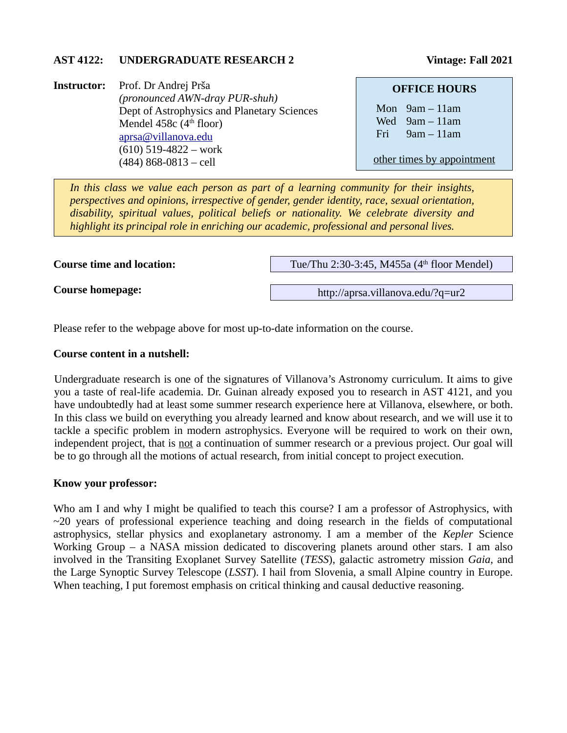### AST 4122: UNDERGRADUATE RESEARCH 2 Vintage: Fall 2021

**Instructor:** Prof. Dr Andrej Prša *(pronounced AWN-dray PUR-shuh)* Dept of Astrophysics and Planetary Sciences Mendel 458 $c$  (4<sup>th</sup> floor) [aprsa@villanova.edu](mailto:aprsa@villanova.edu) (610) 519-4822 – work (484) 868-0813 – cell

#### **OFFICE HOURS**

Mon 9am – 11am Wed 9am – 11am Fri 9am – 11am

other times by appointment

*In this class we value each person as part of a learning community for their insights, perspectives and opinions, irrespective of gender, gender identity, race, sexual orientation, disability, spiritual values, political beliefs or nationality. We celebrate diversity and highlight its principal role in enriching our academic, professional and personal lives.*

**Course time and location:**

Tue/Thu 2:30-3:45, M455a (4<sup>th</sup> floor Mendel)

**Course homepage:**

http://aprsa.villanova.edu/?q=ur2

Please refer to the webpage above for most up-to-date information on the course.

#### **Course content in a nutshell:**

Undergraduate research is one of the signatures of Villanova's Astronomy curriculum. It aims to give you a taste of real-life academia. Dr. Guinan already exposed you to research in AST 4121, and you have undoubtedly had at least some summer research experience here at Villanova, elsewhere, or both. In this class we build on everything you already learned and know about research, and we will use it to tackle a specific problem in modern astrophysics. Everyone will be required to work on their own, independent project, that is not a continuation of summer research or a previous project. Our goal will be to go through all the motions of actual research, from initial concept to project execution.

### **Know your professor:**

Who am I and why I might be qualified to teach this course? I am a professor of Astrophysics, with  $\sim$ 20 years of professional experience teaching and doing research in the fields of computational astrophysics, stellar physics and exoplanetary astronomy. I am a member of the *Kepler* Science Working Group – a NASA mission dedicated to discovering planets around other stars. I am also involved in the Transiting Exoplanet Survey Satellite (*TESS*), galactic astrometry mission *Gaia*, and the Large Synoptic Survey Telescope (*LSST*). I hail from Slovenia, a small Alpine country in Europe. When teaching, I put foremost emphasis on critical thinking and causal deductive reasoning.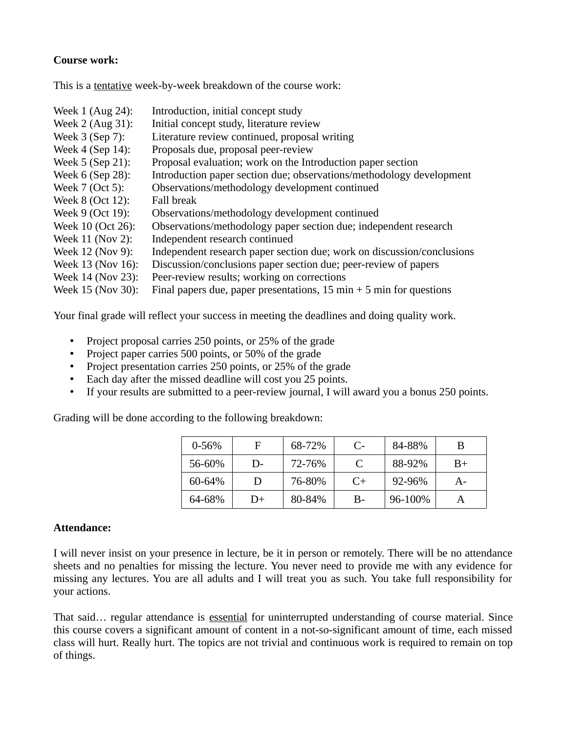# **Course work:**

This is a tentative week-by-week breakdown of the course work:

| Week 1 (Aug 24):  | Introduction, initial concept study                                                   |
|-------------------|---------------------------------------------------------------------------------------|
| Week 2 (Aug 31):  | Initial concept study, literature review                                              |
| Week 3 (Sep 7):   | Literature review continued, proposal writing                                         |
| Week 4 (Sep 14):  | Proposals due, proposal peer-review                                                   |
| Week 5 (Sep 21):  | Proposal evaluation; work on the Introduction paper section                           |
| Week 6 (Sep 28):  | Introduction paper section due; observations/methodology development                  |
| Week 7 (Oct 5):   | Observations/methodology development continued                                        |
| Week 8 (Oct 12):  | Fall break                                                                            |
| Week 9 (Oct 19):  | Observations/methodology development continued                                        |
| Week 10 (Oct 26): | Observations/methodology paper section due; independent research                      |
| Week 11 (Nov 2):  | Independent research continued                                                        |
| Week 12 (Nov 9):  | Independent research paper section due; work on discussion/conclusions                |
| Week 13 (Nov 16): | Discussion/conclusions paper section due; peer-review of papers                       |
| Week 14 (Nov 23): | Peer-review results; working on corrections                                           |
| Week 15 (Nov 30): | Final papers due, paper presentations, $15 \text{ min} + 5 \text{ min}$ for questions |

Your final grade will reflect your success in meeting the deadlines and doing quality work.

- Project proposal carries 250 points, or 25% of the grade
- Project paper carries 500 points, or 50% of the grade
- Project presentation carries 250 points, or 25% of the grade
- Each day after the missed deadline will cost you 25 points.
- If your results are submitted to a peer-review journal, I will award you a bonus 250 points.

Grading will be done according to the following breakdown:

| $0 - 56%$ | F  | 68-72% | C-   | 84-88%      | B    |
|-----------|----|--------|------|-------------|------|
| 56-60%    | D- | 72-76% | C    | 88-92%      | $B+$ |
| 60-64%    | D  | 76-80% | $C+$ | $92 - 96\%$ | A-   |
| 64-68%    | D+ | 80-84% | B-   | 96-100%     |      |

## **Attendance:**

I will never insist on your presence in lecture, be it in person or remotely. There will be no attendance sheets and no penalties for missing the lecture. You never need to provide me with any evidence for missing any lectures. You are all adults and I will treat you as such. You take full responsibility for your actions.

That said… regular attendance is essential for uninterrupted understanding of course material. Since this course covers a significant amount of content in a not-so-significant amount of time, each missed class will hurt. Really hurt. The topics are not trivial and continuous work is required to remain on top of things.